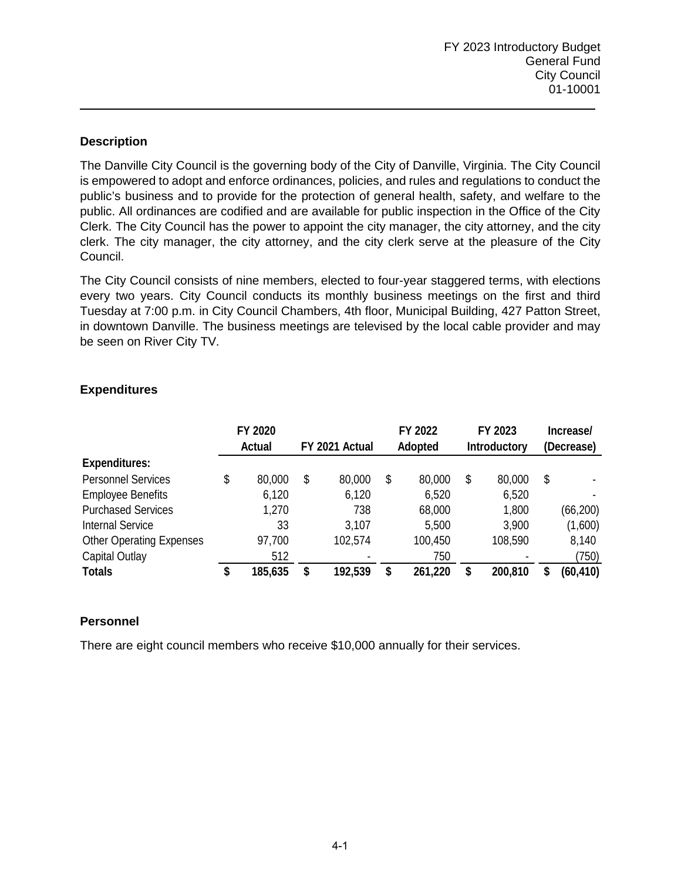The Danville City Council is the governing body of the City of Danville, Virginia. The City Council is empowered to adopt and enforce ordinances, policies, and rules and regulations to conduct the public's business and to provide for the protection of general health, safety, and welfare to the public. All ordinances are codified and are available for public inspection in the Office of the City Clerk. The City Council has the power to appoint the city manager, the city attorney, and the city clerk. The city manager, the city attorney, and the city clerk serve at the pleasure of the City Council.

The City Council consists of nine members, elected to four-year staggered terms, with elections every two years. City Council conducts its monthly business meetings on the first and third Tuesday at 7:00 p.m. in City Council Chambers, 4th floor, Municipal Building, 427 Patton Street, in downtown Danville. The business meetings are televised by the local cable provider and may be seen on River City TV.

|                                 |    | FY 2020<br><b>Actual</b> | FY 2021 Actual | FY 2022<br>Adopted | FY 2023<br><b>Introductory</b> |    | Increase/<br>(Decrease) |
|---------------------------------|----|--------------------------|----------------|--------------------|--------------------------------|----|-------------------------|
| <b>Expenditures:</b>            |    |                          |                |                    |                                |    |                         |
| <b>Personnel Services</b>       | \$ | 80,000                   | \$<br>80,000   | \$<br>80,000       | \$<br>80,000                   | \$ |                         |
| <b>Employee Benefits</b>        |    | 6,120                    | 6,120          | 6,520              | 6,520                          |    |                         |
| <b>Purchased Services</b>       |    | 1,270                    | 738            | 68,000             | 1,800                          |    | (66, 200)               |
| Internal Service                |    | 33                       | 3,107          | 5,500              | 3,900                          |    | (1,600)                 |
| <b>Other Operating Expenses</b> |    | 97,700                   | 102,574        | 100,450            | 108,590                        |    | 8,140                   |
| <b>Capital Outlay</b>           |    | 512                      |                | 750                |                                |    | (750)                   |
| <b>Totals</b>                   | S  | 185,635                  | \$<br>192,539  | \$<br>261,220      | \$<br>200,810                  | S  | (60, 410)               |

## **Expenditures**

# **Personnel**

There are eight council members who receive \$10,000 annually for their services.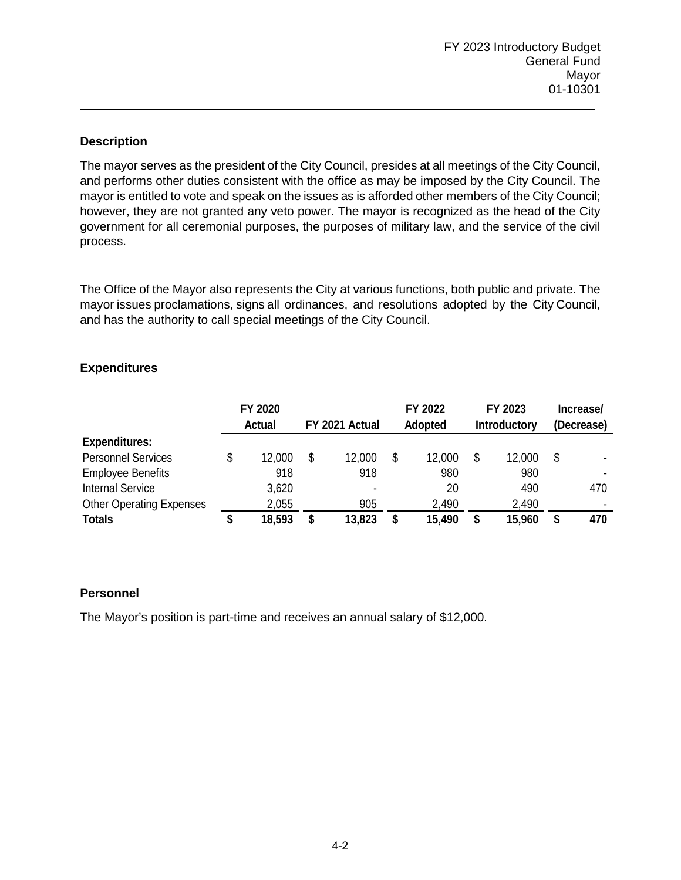The mayor serves as the president of the City Council, presides at all meetings of the City Council, and performs other duties consistent with the office as may be imposed by the City Council. The mayor is entitled to vote and speak on the issues as is afforded other members of the City Council; however, they are not granted any veto power. The mayor is recognized as the head of the City government for all ceremonial purposes, the purposes of military law, and the service of the civil process.

The Office of the Mayor also represents the City at various functions, both public and private. The mayor issues proclamations, signs all ordinances, and resolutions adopted by the City Council, and has the authority to call special meetings of the City Council.

### **Expenditures**

|                                 | FY 2020<br>FY 2021 Actual<br><b>Actual</b> |    |        | FY 2022<br><b>Adopted</b> |        | FY 2023<br><b>Introductory</b> |        | Increase/<br>(Decrease) |     |
|---------------------------------|--------------------------------------------|----|--------|---------------------------|--------|--------------------------------|--------|-------------------------|-----|
| <b>Expenditures:</b>            |                                            |    |        |                           |        |                                |        |                         |     |
| <b>Personnel Services</b>       | 12,000                                     | \$ | 12,000 | \$                        | 12,000 | \$                             | 12,000 | S                       |     |
| <b>Employee Benefits</b>        | 918                                        |    | 918    |                           | 980    |                                | 980    |                         |     |
| <b>Internal Service</b>         | 3,620                                      |    |        |                           | 20     |                                | 490    |                         | 470 |
| <b>Other Operating Expenses</b> | 2,055                                      |    | 905    |                           | 2,490  |                                | 2,490  |                         |     |
| <b>Totals</b>                   | 18,593                                     | S  | 13,823 | S                         | 15,490 |                                | 15,960 |                         | 470 |

# **Personnel**

The Mayor's position is part-time and receives an annual salary of \$12,000.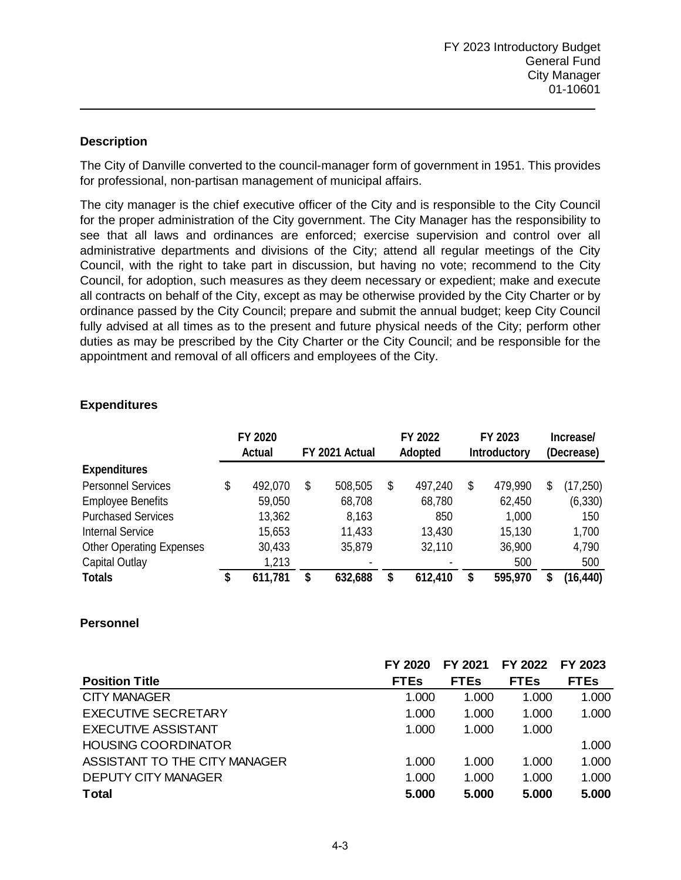The City of Danville converted to the council-manager form of government in 1951. This provides for professional, non-partisan management of municipal affairs.

The city manager is the chief executive officer of the City and is responsible to the City Council for the proper administration of the City government. The City Manager has the responsibility to see that all laws and ordinances are enforced; exercise supervision and control over all administrative departments and divisions of the City; attend all regular meetings of the City Council, with the right to take part in discussion, but having no vote; recommend to the City Council, for adoption, such measures as they deem necessary or expedient; make and execute all contracts on behalf of the City, except as may be otherwise provided by the City Charter or by ordinance passed by the City Council; prepare and submit the annual budget; keep City Council fully advised at all times as to the present and future physical needs of the City; perform other duties as may be prescribed by the City Charter or the City Council; and be responsible for the appointment and removal of all officers and employees of the City.

#### **Expenditures**

|                                 |    | FY 2020<br><b>Actual</b> | FY 2021 Actual | FY 2022<br>Adopted | FY 2023<br><b>Introductory</b> |   | Increase/<br>(Decrease) |
|---------------------------------|----|--------------------------|----------------|--------------------|--------------------------------|---|-------------------------|
| <b>Expenditures</b>             |    |                          |                |                    |                                |   |                         |
| <b>Personnel Services</b>       | \$ | 492,070                  | \$<br>508,505  | \$<br>497,240      | \$<br>479,990                  | S | (17, 250)               |
| <b>Employee Benefits</b>        |    | 59,050                   | 68,708         | 68,780             | 62,450                         |   | (6, 330)                |
| <b>Purchased Services</b>       |    | 13,362                   | 8,163          | 850                | 1,000                          |   | 150                     |
| Internal Service                |    | 15,653                   | 11,433         | 13,430             | 15,130                         |   | 1,700                   |
| <b>Other Operating Expenses</b> |    | 30,433                   | 35,879         | 32,110             | 36,900                         |   | 4,790                   |
| <b>Capital Outlay</b>           |    | 1,213                    |                |                    | 500                            |   | 500                     |
| <b>Totals</b>                   | S  | 611,781                  | \$<br>632,688  | \$<br>612,410      | 595.970                        |   | (16, 440)               |

#### **Personnel**

|                               | FY 2020     | FY 2021     | FY 2022     | FY 2023     |
|-------------------------------|-------------|-------------|-------------|-------------|
| <b>Position Title</b>         | <b>FTEs</b> | <b>FTEs</b> | <b>FTEs</b> | <b>FTEs</b> |
| <b>CITY MANAGER</b>           | 1.000       | 1.000       | 1.000       | 1.000       |
| <b>EXECUTIVE SECRETARY</b>    | 1.000       | 1.000       | 1.000       | 1.000       |
| <b>EXECUTIVE ASSISTANT</b>    | 1.000       | 1.000       | 1.000       |             |
| <b>HOUSING COORDINATOR</b>    |             |             |             | 1.000       |
| ASSISTANT TO THE CITY MANAGER | 1.000       | 1.000       | 1.000       | 1.000       |
| <b>DEPUTY CITY MANAGER</b>    | 1.000       | 1.000       | 1.000       | 1.000       |
| <b>Total</b>                  | 5.000       | 5.000       | 5.000       | 5.000       |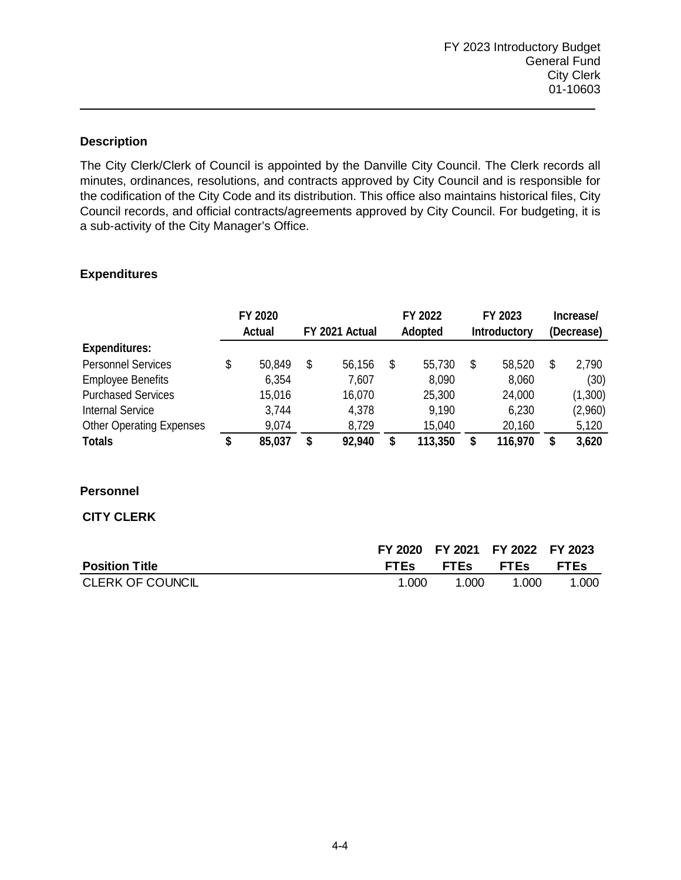The City Clerk/Clerk of Council is appointed by the Danville City Council. The Clerk records all minutes, ordinances, resolutions, and contracts approved by City Council and is responsible for the codification of the City Code and its distribution. This office also maintains historical files, City Council records, and official contracts/agreements approved by City Council. For budgeting, it is a sub-activity of the City Manager's Office.

## **Expenditures**

|                                 | FY 2020<br><b>Actual</b> | FY 2021 Actual | FY 2022<br>Adopted | FY 2023<br><b>Introductory</b> |   | Increase/<br>(Decrease) |
|---------------------------------|--------------------------|----------------|--------------------|--------------------------------|---|-------------------------|
| <b>Expenditures:</b>            |                          |                |                    |                                |   |                         |
| <b>Personnel Services</b>       | \$<br>50,849             | \$<br>56,156   | \$<br>55,730       | \$<br>58,520                   | S | 2,790                   |
| <b>Employee Benefits</b>        | 6,354                    | 7,607          | 8,090              | 8,060                          |   | (30)                    |
| <b>Purchased Services</b>       | 15,016                   | 16,070         | 25,300             | 24,000                         |   | (1,300)                 |
| <b>Internal Service</b>         | 3,744                    | 4,378          | 9,190              | 6,230                          |   | (2,960)                 |
| <b>Other Operating Expenses</b> | 9,074                    | 8,729          | 15,040             | 20,160                         |   | 5,120                   |
| <b>Totals</b>                   | \$<br>85,037             | \$<br>92,940   | \$<br>113,350      | \$<br>116,970                  | S | 3,620                   |

### **Personnel**

### **CITY CLERK**

|                         |             | FY 2020 FY 2021 FY 2022 FY 2023 |       |       |
|-------------------------|-------------|---------------------------------|-------|-------|
| <b>Position Title</b>   | <b>FTES</b> | <b>FTEs FTEs FTEs</b>           |       |       |
| <b>CLERK OF COUNCIL</b> | 1.000       | 1.000                           | 1.000 | 1.000 |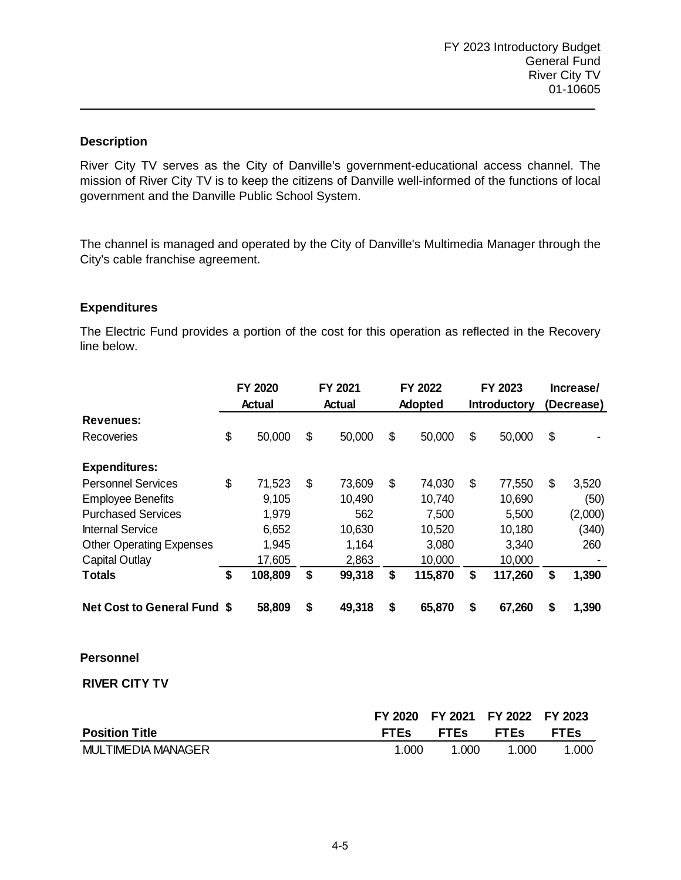River City TV serves as the City of Danville's government-educational access channel. The mission of River City TV is to keep the citizens of Danville well-informed of the functions of local government and the Danville Public School System.

The channel is managed and operated by the City of Danville's Multimedia Manager through the City's cable franchise agreement.

#### **Expenditures**

The Electric Fund provides a portion of the cost for this operation as reflected in the Recovery line below.

|                                    | FY 2020<br><b>Actual</b> | FY 2021<br><b>Actual</b> | FY 2022<br>Adopted | FY 2023<br><b>Introductory</b> | Increase/<br>(Decrease) |
|------------------------------------|--------------------------|--------------------------|--------------------|--------------------------------|-------------------------|
| <b>Revenues:</b>                   |                          |                          |                    |                                |                         |
| Recoveries                         | \$<br>50,000             | \$<br>50,000             | \$<br>50,000       | \$<br>50,000                   | \$                      |
| <b>Expenditures:</b>               |                          |                          |                    |                                |                         |
| <b>Personnel Services</b>          | \$<br>71,523             | \$<br>73,609             | \$<br>74,030       | \$<br>77,550                   | \$<br>3,520             |
| <b>Employee Benefits</b>           | 9,105                    | 10,490                   | 10,740             | 10,690                         | (50)                    |
| <b>Purchased Services</b>          | 1,979                    | 562                      | 7,500              | 5,500                          | (2,000)                 |
| <b>Internal Service</b>            | 6,652                    | 10,630                   | 10,520             | 10,180                         | (340)                   |
| <b>Other Operating Expenses</b>    | 1,945                    | 1,164                    | 3,080              | 3,340                          | 260                     |
| <b>Capital Outlay</b>              | 17,605                   | 2,863                    | 10,000             | 10,000                         |                         |
| <b>Totals</b>                      | \$<br>108,809            | \$<br>99,318             | \$<br>115,870      | \$<br>117,260                  | \$<br>1,390             |
| <b>Net Cost to General Fund \$</b> | 58,809                   | \$<br>49,318             | \$<br>65,870       | \$<br>67,260                   | \$<br>1,390             |
|                                    |                          |                          |                    |                                |                         |

# **Personnel**

**RIVER CITY TV**

|                           |             |             | FY 2020 FY 2021 FY 2022 FY 2023 |             |
|---------------------------|-------------|-------------|---------------------------------|-------------|
| <b>Position Title</b>     | <b>FTEs</b> | <b>FTEs</b> | $\cdot$ FTEs                    | <b>FTEs</b> |
| <b>MULTIMEDIA MANAGER</b> | 1.000       | 1.000       | 1.000                           | 1.000       |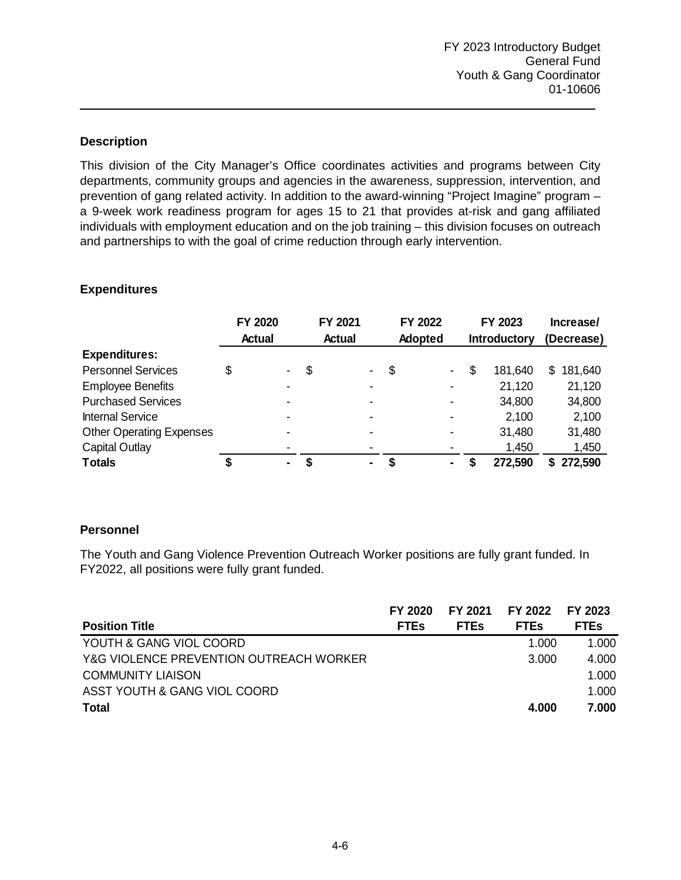This division of the City Manager's Office coordinates activities and programs between City departments, community groups and agencies in the awareness, suppression, intervention, and prevention of gang related activity. In addition to the award-winning "Project Imagine" program – a 9-week work readiness program for ages 15 to 21 that provides at-risk and gang affiliated individuals with employment education and on the job training – this division focuses on outreach and partnerships to with the goal of crime reduction through early intervention.

### **Expenditures**

|                                 | FY 2020                  | FY 2021       |                          | FY 2022        | FY 2023             |            | Increase/ |
|---------------------------------|--------------------------|---------------|--------------------------|----------------|---------------------|------------|-----------|
|                                 | <b>Actual</b>            | <b>Actual</b> |                          | Adopted        | <b>Introductory</b> | (Decrease) |           |
| <b>Expenditures:</b>            |                          |               |                          |                |                     |            |           |
| <b>Personnel Services</b>       | \$<br>Ξ.                 | \$            | -                        | \$<br>$\sim$   | \$<br>181,640       | S.         | 181,640   |
| <b>Employee Benefits</b>        | $\overline{\phantom{0}}$ |               |                          |                | 21,120              |            | 21,120    |
| <b>Purchased Services</b>       | ۰.                       |               |                          |                | 34,800              |            | 34,800    |
| <b>Internal Service</b>         |                          |               | $\overline{\phantom{0}}$ |                | 2,100               |            | 2,100     |
| <b>Other Operating Expenses</b> |                          |               | -                        |                | 31,480              |            | 31,480    |
| <b>Capital Outlay</b>           | $\overline{\phantom{0}}$ |               |                          |                | 1,450               |            | 1,450     |
| <b>Totals</b>                   | ۰.                       |               | $\blacksquare$           | $\blacksquare$ | 272,590             | SS.        | 272,590   |

# **Personnel**

The Youth and Gang Violence Prevention Outreach Worker positions are fully grant funded. In FY2022, all positions were fully grant funded.

|                                         | FY 2020     | FY 2021     | FY 2022 FY 2023 |             |
|-----------------------------------------|-------------|-------------|-----------------|-------------|
| <b>Position Title</b>                   | <b>FTEs</b> | <b>FTEs</b> | <b>FTEs</b>     | <b>FTEs</b> |
| YOUTH & GANG VIOL COORD                 |             |             | 1.000           | 1.000       |
| Y&G VIOLENCE PREVENTION OUTREACH WORKER |             |             | 3.000           | 4.000       |
| <b>COMMUNITY LIAISON</b>                |             |             |                 | 1.000       |
| ASST YOUTH & GANG VIOL COORD            |             |             |                 | 1.000       |
| <b>Total</b>                            |             |             | 4.000           | 7.000       |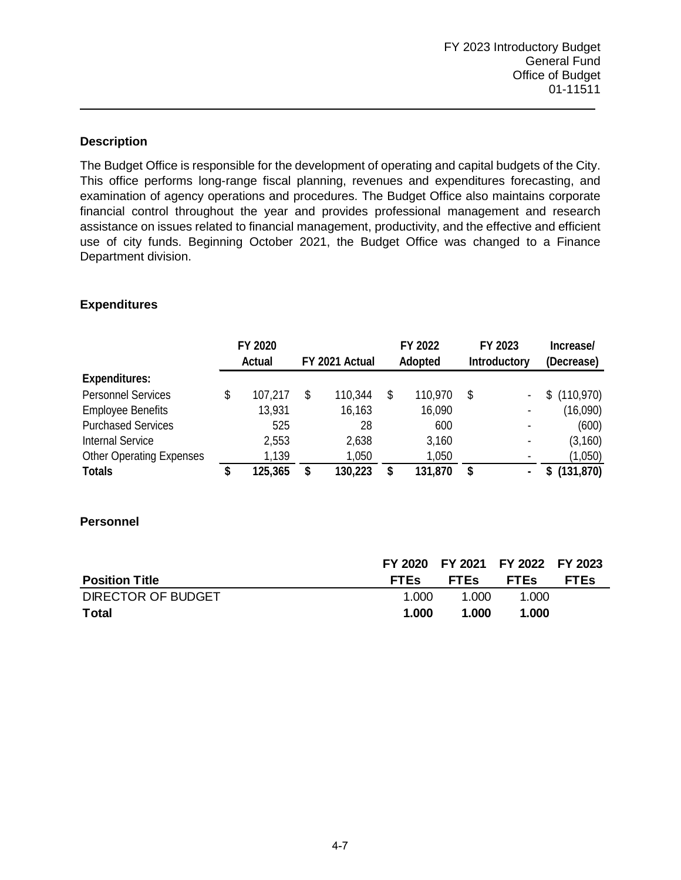The Budget Office is responsible for the development of operating and capital budgets of the City. This office performs long-range fiscal planning, revenues and expenditures forecasting, and examination of agency operations and procedures. The Budget Office also maintains corporate financial control throughout the year and provides professional management and research assistance on issues related to financial management, productivity, and the effective and efficient use of city funds. Beginning October 2021, the Budget Office was changed to a Finance Department division.

# **Expenditures**

|                                 |    | FY 2020<br><b>Actual</b> | FY 2021 Actual |    | FY 2022<br><b>Adopted</b> |    | FY 2023<br><b>Introductory</b> | Increase/<br>(Decrease) |
|---------------------------------|----|--------------------------|----------------|----|---------------------------|----|--------------------------------|-------------------------|
| <b>Expenditures:</b>            |    |                          |                |    |                           |    |                                |                         |
| <b>Personnel Services</b>       | \$ | 107,217                  | \$<br>110,344  | \$ | 110,970                   | \$ |                                | \$(110,970)             |
| <b>Employee Benefits</b>        |    | 13,931                   | 16,163         |    | 16,090                    |    |                                | (16,090)                |
| <b>Purchased Services</b>       |    | 525                      | 28             |    | 600                       |    |                                | (600)                   |
| <b>Internal Service</b>         |    | 2,553                    | 2,638          |    | 3,160                     |    |                                | (3, 160)                |
| <b>Other Operating Expenses</b> |    | 1,139                    | 1,050          |    | 1,050                     |    |                                | (1,050)                 |
| <b>Totals</b>                   | S  | 125,365                  | \$<br>130,223  | S  | 131,870                   | S  |                                | (131, 870)              |

# **Personnel**

|                       |             | FY 2020 FY 2021 FY 2022 FY 2023 |       |             |
|-----------------------|-------------|---------------------------------|-------|-------------|
| <b>Position Title</b> | <b>FTEs</b> | FTEs FTEs                       |       | <b>FTEs</b> |
| DIRECTOR OF BUDGET    | 1.000       | 1.000                           | 1.000 |             |
| Total                 | 1.000       | 1.000                           | 1.000 |             |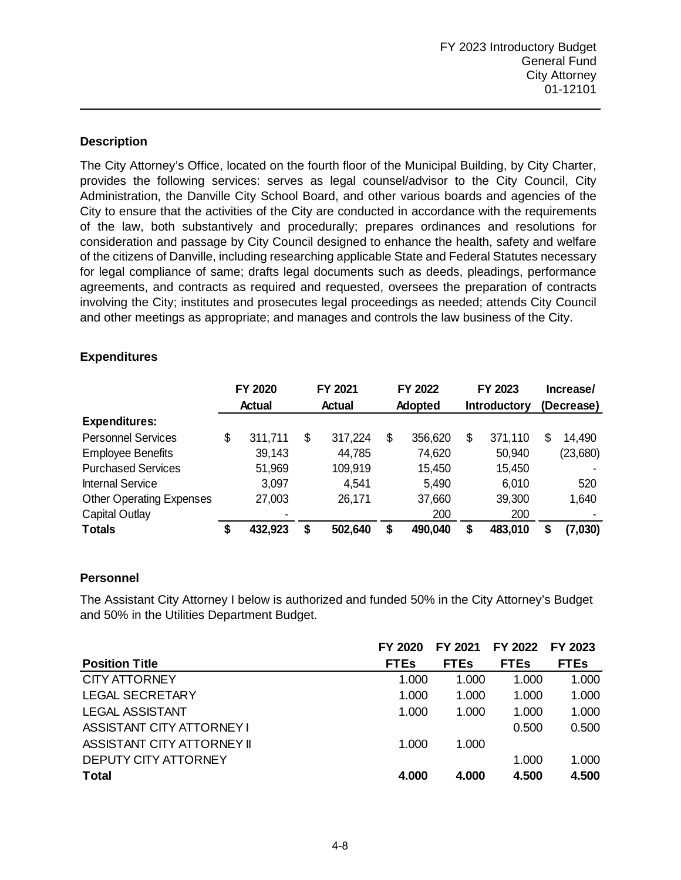The City Attorney's Office, located on the fourth floor of the Municipal Building, by City Charter, provides the following services: serves as legal counsel/advisor to the City Council, City Administration, the Danville City School Board, and other various boards and agencies of the City to ensure that the activities of the City are conducted in accordance with the requirements of the law, both substantively and procedurally; prepares ordinances and resolutions for consideration and passage by City Council designed to enhance the health, safety and welfare of the citizens of Danville, including researching applicable State and Federal Statutes necessary for legal compliance of same; drafts legal documents such as deeds, pleadings, performance agreements, and contracts as required and requested, oversees the preparation of contracts involving the City; institutes and prosecutes legal proceedings as needed; attends City Council and other meetings as appropriate; and manages and controls the law business of the City.

|                                 | FY 2020<br>Actual |         | FY 2021<br>Actual |         | FY 2022<br>Adopted |         | FY 2023<br><b>Introductory</b> |         | Increase/<br>(Decrease) |          |
|---------------------------------|-------------------|---------|-------------------|---------|--------------------|---------|--------------------------------|---------|-------------------------|----------|
|                                 |                   |         |                   |         |                    |         |                                |         |                         |          |
| <b>Expenditures:</b>            |                   |         |                   |         |                    |         |                                |         |                         |          |
| <b>Personnel Services</b>       | \$                | 311,711 | \$                | 317,224 | \$                 | 356,620 | \$                             | 371,110 | S                       | 14,490   |
| <b>Employee Benefits</b>        |                   | 39,143  |                   | 44,785  |                    | 74,620  |                                | 50,940  |                         | (23,680) |
| <b>Purchased Services</b>       |                   | 51,969  |                   | 109,919 |                    | 15,450  |                                | 15,450  |                         |          |
| <b>Internal Service</b>         |                   | 3,097   |                   | 4,541   |                    | 5,490   |                                | 6,010   |                         | 520      |
| <b>Other Operating Expenses</b> |                   | 27,003  |                   | 26,171  |                    | 37,660  |                                | 39,300  |                         | 1,640    |
| <b>Capital Outlay</b>           |                   | -       |                   |         |                    | 200     |                                | 200     |                         |          |
| <b>Totals</b>                   | S                 | 432,923 | \$                | 502,640 | \$                 | 490,040 | S                              | 483,010 |                         | (7,030)  |

## **Expenditures**

### **Personnel**

The Assistant City Attorney I below is authorized and funded 50% in the City Attorney's Budget and 50% in the Utilities Department Budget.

|                            | FY 2020     | FY 2021     | FY 2022     | FY 2023     |
|----------------------------|-------------|-------------|-------------|-------------|
| <b>Position Title</b>      | <b>FTEs</b> | <b>FTEs</b> | <b>FTEs</b> | <b>FTEs</b> |
| CITY ATTORNEY              | 1.000       | 1.000       | 1.000       | 1.000       |
| <b>LEGAL SECRETARY</b>     | 1.000       | 1.000       | 1.000       | 1.000       |
| <b>LEGAL ASSISTANT</b>     | 1.000       | 1.000       | 1.000       | 1.000       |
| ASSISTANT CITY ATTORNEY I  |             |             | 0.500       | 0.500       |
| ASSISTANT CITY ATTORNEY II | 1.000       | 1.000       |             |             |
| DEPUTY CITY ATTORNEY       |             |             | 1.000       | 1.000       |
| <b>Total</b>               | 4.000       | 4.000       | 4.500       | 4.500       |